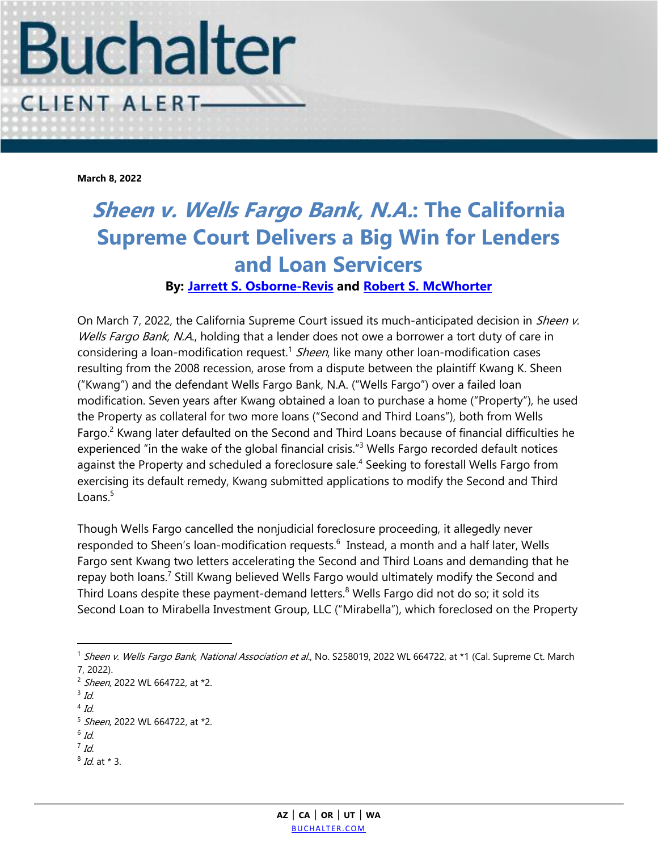

**March 8, 2022**

## **Sheen v. Wells Fargo Bank, N.A.: The California Supreme Court Delivers a Big Win for Lenders and Loan Servicers**

## **By: [Jarrett S. Osborne-Revis](https://www.buchalter.com/attorneys/jarrett-s-osborne-revis/#bio) and [Robert S. McWhorter](https://www.buchalter.com/attorneys/robert-s-mcwhorter/#bio)**

On March 7, 2022, the California Supreme Court issued its much-anticipated decision in Sheen v. Wells Fargo Bank, N.A., holding that a lender does not owe a borrower a tort duty of care in considering a loan-modification request.<sup>1</sup> Sheen, like many other loan-modification cases resulting from the 2008 recession, arose from a dispute between the plaintiff Kwang K. Sheen ("Kwang") and the defendant Wells Fargo Bank, N.A. ("Wells Fargo") over a failed loan modification. Seven years after Kwang obtained a loan to purchase a home ("Property"), he used the Property as collateral for two more loans ("Second and Third Loans"), both from Wells Fargo.<sup>2</sup> Kwang later defaulted on the Second and Third Loans because of financial difficulties he experienced "in the wake of the global financial crisis."<sup>3</sup> Wells Fargo recorded default notices against the Property and scheduled a foreclosure sale.<sup>4</sup> Seeking to forestall Wells Fargo from exercising its default remedy, Kwang submitted applications to modify the Second and Third Loans. $5$ 

Though Wells Fargo cancelled the nonjudicial foreclosure proceeding, it allegedly never responded to Sheen's loan-modification requests.<sup>6</sup> Instead, a month and a half later, Wells Fargo sent Kwang two letters accelerating the Second and Third Loans and demanding that he repay both loans.<sup>7</sup> Still Kwang believed Wells Fargo would ultimately modify the Second and Third Loans despite these payment-demand letters.<sup>8</sup> Wells Fargo did not do so; it sold its Second Loan to Mirabella Investment Group, LLC ("Mirabella"), which foreclosed on the Property

 $\overline{a}$ 

<sup>8</sup> Id. at \* 3.

<sup>&</sup>lt;sup>1</sup> Sheen v. Wells Fargo Bank, National Association et al., No. S258019, 2022 WL 664722, at \*1 (Cal. Supreme Ct. March 7, 2022).

<sup>&</sup>lt;sup>2</sup> Sheen, 2022 WL 664722, at \*2.

 $3$  Id.

 $4$  Id.

<sup>&</sup>lt;sup>5</sup> Sheen, 2022 WL 664722, at \*2.

 $^6$  Id.

 $^7$  Id.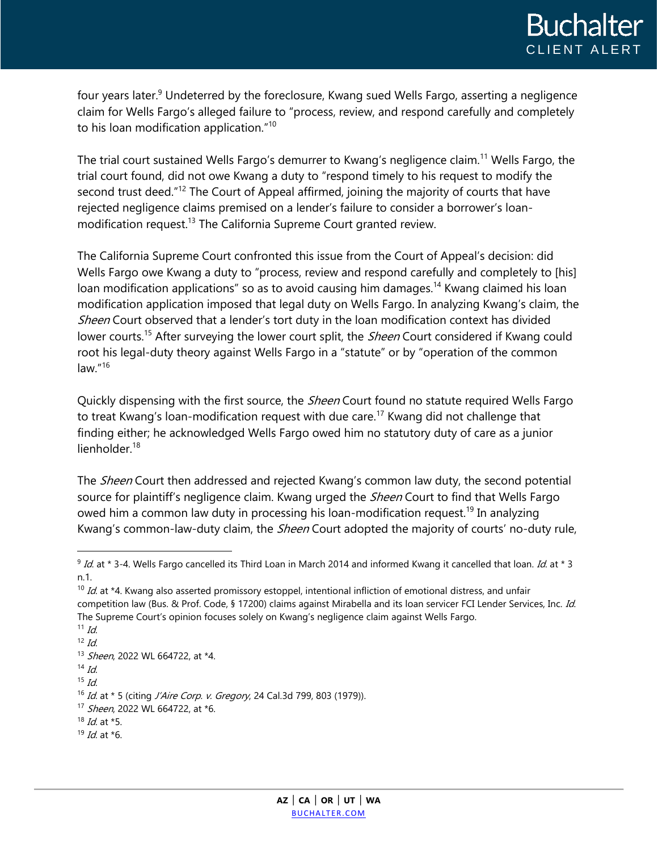four years later.<sup>9</sup> Undeterred by the foreclosure, Kwang sued Wells Fargo, asserting a negligence claim for Wells Fargo's alleged failure to "process, review, and respond carefully and completely to his loan modification application."<sup>10</sup>

The trial court sustained Wells Fargo's demurrer to Kwang's negligence claim.<sup>11</sup> Wells Fargo, the trial court found, did not owe Kwang a duty to "respond timely to his request to modify the second trust deed.<sup>"12</sup> The Court of Appeal affirmed, joining the majority of courts that have rejected negligence claims premised on a lender's failure to consider a borrower's loanmodification request.<sup>13</sup> The California Supreme Court granted review.

The California Supreme Court confronted this issue from the Court of Appeal's decision: did Wells Fargo owe Kwang a duty to "process, review and respond carefully and completely to [his] loan modification applications" so as to avoid causing him damages.<sup>14</sup> Kwang claimed his loan modification application imposed that legal duty on Wells Fargo. In analyzing Kwang's claim, the Sheen Court observed that a lender's tort duty in the loan modification context has divided lower courts.<sup>15</sup> After surveying the lower court split, the *Sheen* Court considered if Kwang could root his legal-duty theory against Wells Fargo in a "statute" or by "operation of the common law."<sup>16</sup>

Quickly dispensing with the first source, the *Sheen* Court found no statute required Wells Fargo to treat Kwang's loan-modification request with due care.<sup>17</sup> Kwang did not challenge that finding either; he acknowledged Wells Fargo owed him no statutory duty of care as a junior lienholder.<sup>18</sup>

The *Sheen* Court then addressed and rejected Kwang's common law duty, the second potential source for plaintiff's negligence claim. Kwang urged the *Sheen* Court to find that Wells Fargo owed him a common law duty in processing his loan-modification request.<sup>19</sup> In analyzing Kwang's common-law-duty claim, the *Sheen* Court adopted the majority of courts' no-duty rule,

 $\overline{a}$ 

 $9$  Id. at \* 3-4. Wells Fargo cancelled its Third Loan in March 2014 and informed Kwang it cancelled that loan. Id. at \* 3 n.1.

 $10$  Id. at \*4. Kwang also asserted promissory estoppel, intentional infliction of emotional distress, and unfair competition law (Bus. & Prof. Code, § 17200) claims against Mirabella and its loan servicer FCI Lender Services, Inc. Id. The Supreme Court's opinion focuses solely on Kwang's negligence claim against Wells Fargo.  $11$  Id.

 $12$  *Id*.

<sup>13</sup> Sheen, 2022 WL 664722, at \*4.  $14$  Id.

 $15$  *Id*.

<sup>&</sup>lt;sup>16</sup> Id. at \* 5 (citing J'Aire Corp. v. Gregory, 24 Cal.3d 799, 803 (1979)).

<sup>&</sup>lt;sup>17</sup> Sheen, 2022 WL 664722, at \*6.

 $18$  *Id.* at  $*5$ .

 $19$  *Id.* at  $*6$ .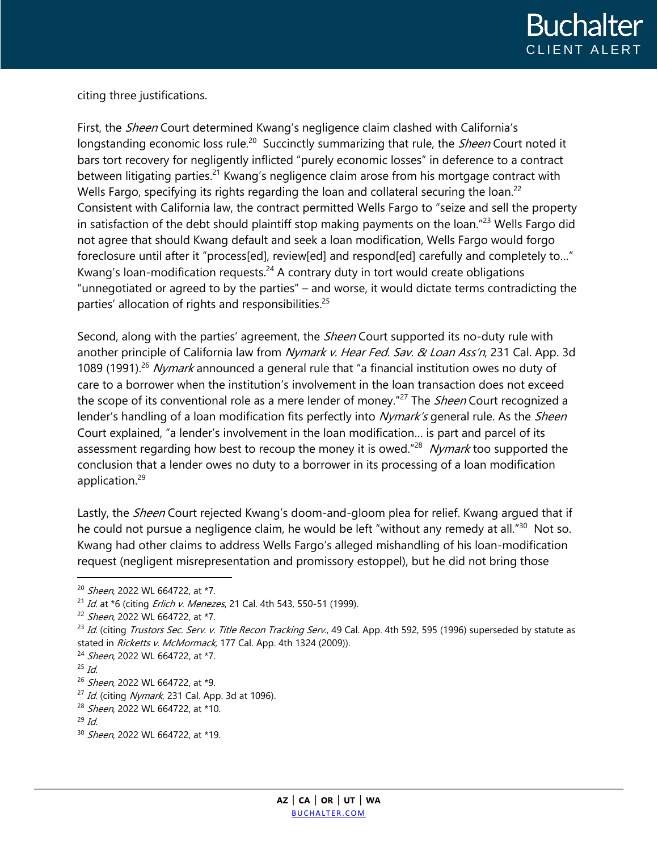

citing three justifications.

First, the *Sheen* Court determined Kwang's negligence claim clashed with California's longstanding economic loss rule.<sup>20</sup> Succinctly summarizing that rule, the *Sheen* Court noted it bars tort recovery for negligently inflicted "purely economic losses" in deference to a contract between litigating parties.<sup>21</sup> Kwang's negligence claim arose from his mortgage contract with Wells Fargo, specifying its rights regarding the loan and collateral securing the loan.<sup>22</sup> Consistent with California law, the contract permitted Wells Fargo to "seize and sell the property in satisfaction of the debt should plaintiff stop making payments on the loan."<sup>23</sup> Wells Fargo did not agree that should Kwang default and seek a loan modification, Wells Fargo would forgo foreclosure until after it "process[ed], review[ed] and respond[ed] carefully and completely to..." Kwang's loan-modification requests. $24$  A contrary duty in tort would create obligations "unnegotiated or agreed to by the parties" – and worse, it would dictate terms contradicting the parties' allocation of rights and responsibilities.<sup>25</sup>

Second, along with the parties' agreement, the *Sheen* Court supported its no-duty rule with another principle of California law from Nymark v. Hear Fed. Sav. & Loan Ass'n, 231 Cal. App. 3d 1089 (1991).<sup>26</sup> Nymark announced a general rule that "a financial institution owes no duty of care to a borrower when the institution's involvement in the loan transaction does not exceed the scope of its conventional role as a mere lender of money."<sup>27</sup> The *Sheen* Court recognized a lender's handling of a loan modification fits perfectly into Nymark's general rule. As the Sheen Court explained, "a lender's involvement in the loan modification… is part and parcel of its assessment regarding how best to recoup the money it is owed."<sup>28</sup> Nymark too supported the conclusion that a lender owes no duty to a borrower in its processing of a loan modification application.<sup>29</sup>

Lastly, the *Sheen* Court rejected Kwang's doom-and-gloom plea for relief. Kwang argued that if he could not pursue a negligence claim, he would be left "without any remedy at all."<sup>30</sup> Not so. Kwang had other claims to address Wells Fargo's alleged mishandling of his loan-modification request (negligent misrepresentation and promissory estoppel), but he did not bring those

 $\overline{a}$ 

<sup>&</sup>lt;sup>20</sup> Sheen, 2022 WL 664722, at \*7.

<sup>&</sup>lt;sup>21</sup> Id. at \*6 (citing *Erlich v. Menezes*, 21 Cal. 4th 543, 550-51 (1999).

<sup>&</sup>lt;sup>22</sup> Sheen, 2022 WL 664722, at \*7.

<sup>&</sup>lt;sup>23</sup> Id. (citing Trustors Sec. Serv. v. Title Recon Tracking Serv., 49 Cal. App. 4th 592, 595 (1996) superseded by statute as stated in Ricketts v. McMormack, 177 Cal. App. 4th 1324 (2009)).

<sup>&</sup>lt;sup>24</sup> Sheen, 2022 WL 664722, at \*7.

 $25$  Id.

<sup>&</sup>lt;sup>26</sup> Sheen, 2022 WL 664722, at \*9.

 $^{27}$  Id. (citing Nymark, 231 Cal. App. 3d at 1096).

<sup>&</sup>lt;sup>28</sup> Sheen, 2022 WL 664722, at \*10.

 $29$  *Id.* 

<sup>&</sup>lt;sup>30</sup> Sheen, 2022 WL 664722, at \*19.